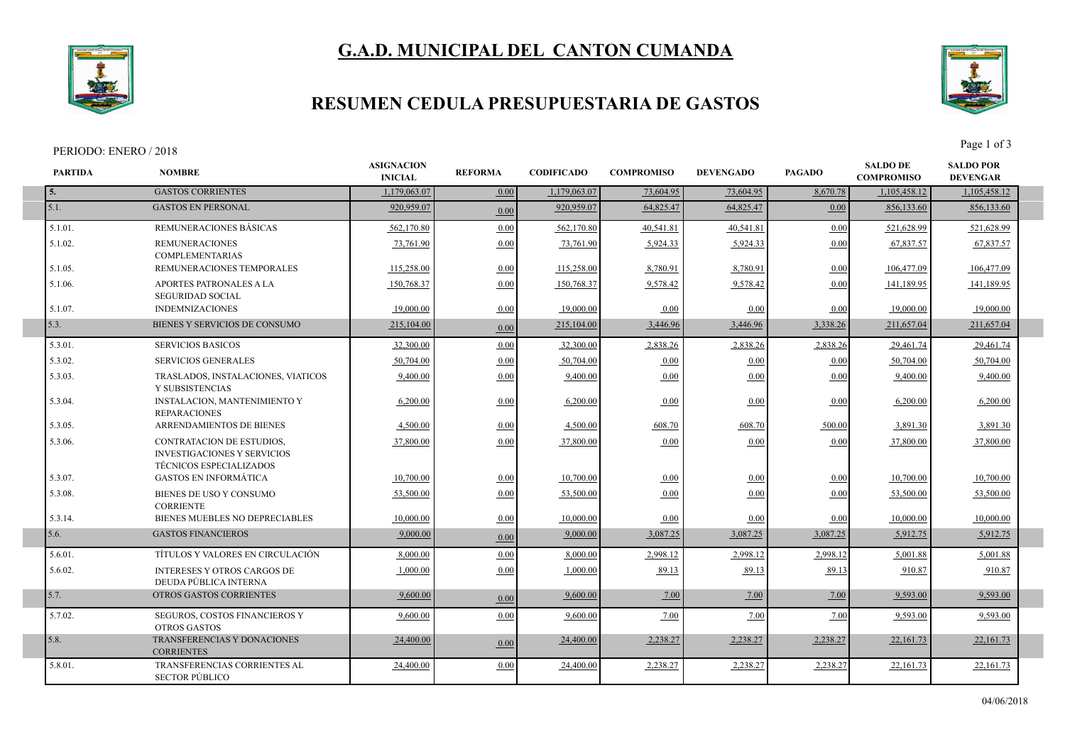



## **RESUMEN CEDULA PRESUPUESTARIA DE GASTOS**

#### PERIODO: ENERO / 2018 Page 1 of 3

I



| <b>PARTIDA</b> | <b>NOMBRE</b>                                                                                            | <b>ASIGNACION</b><br><b>INICIAL</b> | <b>REFORMA</b> | <b>CODIFICADO</b> | <b>COMPROMISO</b> | <b>DEVENGADO</b> | <b>PAGADO</b> | <b>SALDO DE</b><br><b>COMPROMISO</b> | <b>SALDO POR</b><br><b>DEVENGAR</b> |  |
|----------------|----------------------------------------------------------------------------------------------------------|-------------------------------------|----------------|-------------------|-------------------|------------------|---------------|--------------------------------------|-------------------------------------|--|
| 5.             | <b>GASTOS CORRIENTES</b>                                                                                 | 1,179,063.07                        | 0.00           | 1,179,063.07      | 73,604.95         | 73,604.95        | 8,670.78      | 1,105,458.12                         | 1,105,458.12                        |  |
| 5.1.           | <b>GASTOS EN PERSONAL</b>                                                                                | 920.959.07                          | 0.00           | 920,959.07        | 64,825.47         | 64,825.47        | 0.00          | 856,133.60                           | 856,133.60                          |  |
| 5.1.01.        | REMUNERACIONES BÁSICAS                                                                                   | 562,170.80                          | 0.00           | 562,170.80        | 40,541.81         | 40,541.81        | 0.00          | 521,628.99                           | 521,628.99                          |  |
| 5.1.02.        | <b>REMUNERACIONES</b><br><b>COMPLEMENTARIAS</b>                                                          | 73,761.90                           | 0.00           | 73,761.90         | 5,924.33          | 5,924.33         | 0.00          | 67,837.57                            | 67,837.57                           |  |
| 5.1.05.        | REMUNERACIONES TEMPORALES                                                                                | 115,258.00                          | 0.00           | 115,258.00        | 8,780.91          | 8,780.91         | 0.00          | 106,477.09                           | 106,477.09                          |  |
| 5.1.06.        | APORTES PATRONALES A LA<br><b>SEGURIDAD SOCIAL</b>                                                       | 150,768.37                          | 0.00           | 150.768.37        | 9.578.42          | 9,578.42         | 0.00          | 141.189.95                           | 141,189.95                          |  |
| 5.1.07.        | <b>INDEMNIZACIONES</b>                                                                                   | 19.000.00                           | 0.00           | 19,000.00         | 0.00              | 0.00             | 0.00          | 19.000.00                            | 19.000.00                           |  |
| 5.3.           | BIENES Y SERVICIOS DE CONSUMO                                                                            | 215,104.00                          | 0.00           | 215,104.00        | 3,446.96          | 3,446.96         | 3,338.26      | 211,657.04                           | 211,657.04                          |  |
| 5.3.01.        | <b>SERVICIOS BASICOS</b>                                                                                 | 32,300.00                           | 0.00           | 32,300.00         | 2,838.26          | 2,838.26         | 2,838.26      | 29,461.74                            | 29,461.74                           |  |
| 5.3.02.        | <b>SERVICIOS GENERALES</b>                                                                               | 50.704.00                           | 0.00           | 50,704.00         | 0.00              | 0.00             | 0.00          | 50.704.00                            | 50,704.00                           |  |
| 5.3.03.        | TRASLADOS, INSTALACIONES, VIATICOS<br>Y SUBSISTENCIAS                                                    | 9,400.00                            | 0.00           | 9,400.00          | 0.00              | 0.00             | 0.00          | 9,400.00                             | 9,400.00                            |  |
| 5.3.04.        | INSTALACION, MANTENIMIENTO Y<br><b>REPARACIONES</b>                                                      | 6,200.00                            | 0.00           | 6,200.00          | 0.00              | 0.00             | 0.00          | 6,200.00                             | 6,200.00                            |  |
| 5.3.05.        | ARRENDAMIENTOS DE BIENES                                                                                 | 4,500.00                            | 0.00           | 4,500.00          | 608.70            | 608.70           | 500.00        | 3,891.30                             | 3,891.30                            |  |
| 5.3.06.        | <b>CONTRATACION DE ESTUDIOS,</b><br><b>INVESTIGACIONES Y SERVICIOS</b><br><b>TÉCNICOS ESPECIALIZADOS</b> | 37,800.00                           | 0.00           | 37,800.00         | 0.00              | 0.00             | 0.00          | 37,800.00                            | 37,800.00                           |  |
| 5.3.07.        | <b>GASTOS EN INFORMÁTICA</b>                                                                             | 10,700.00                           | 0.00           | 10,700.00         | 0.00              | 0.00             | 0.00          | 10,700.00                            | 10,700.00                           |  |
| 5.3.08.        | BIENES DE USO Y CONSUMO<br><b>CORRIENTE</b>                                                              | 53,500.00                           | 0.00           | 53.500.00         | 0.00              | 0.00             | 0.00          | 53,500.00                            | 53,500.00                           |  |
| 5.3.14.        | BIENES MUEBLES NO DEPRECIABLES                                                                           | 10,000.00                           | 0.00           | 10,000.00         | 0.00              | 0.00             | 0.00          | 10.000.00                            | 10,000.00                           |  |
| 5.6.           | <b>GASTOS FINANCIEROS</b>                                                                                | 9,000.00                            | 0.00           | 9,000.00          | 3,087.25          | 3,087.25         | 3,087.25      | 5,912.75                             | 5,912.75                            |  |
| 5.6.01.        | TÍTULOS Y VALORES EN CIRCULACIÓN                                                                         | 8,000.00                            | 0.00           | 8,000.00          | 2,998.12          | 2,998.12         | 2,998.12      | 5,001.88                             | 5,001.88                            |  |
| 5.6.02.        | <b>INTERESES Y OTROS CARGOS DE</b><br>DEUDA PÚBLICA INTERNA                                              | 1,000.00                            | 0.00           | 1.000.00          | 89.13             | 89.13            | 89.13         | 910.87                               | 910.87                              |  |
| 5.7.           | OTROS GASTOS CORRIENTES                                                                                  | 9,600.00                            | 0.00           | 9,600.00          | 7.00              | 7.00             | 7.00          | 9,593.00                             | 9,593.00                            |  |
| 5.7.02.        | SEGUROS, COSTOS FINANCIEROS Y<br>OTROS GASTOS                                                            | 9,600.00                            | 0.00           | 9,600.00          | 7.00              | 7.00             | 7.00          | 9,593.00                             | 9.593.00                            |  |
| 5.8.           | TRANSFERENCIAS Y DONACIONES<br><b>CORRIENTES</b>                                                         | 24,400.00                           | 0.00           | 24,400.00         | 2,238.27          | 2,238.27         | 2,238.27      | 22,161.73                            | 22,161.73                           |  |
| 5.8.01.        | TRANSFERENCIAS CORRIENTES AL<br><b>SECTOR PÚBLICO</b>                                                    | 24,400.00                           | 0.00           | 24,400.00         | 2,238.27          | 2,238.27         | 2,238.27      | 22,161.73                            | 22,161.73                           |  |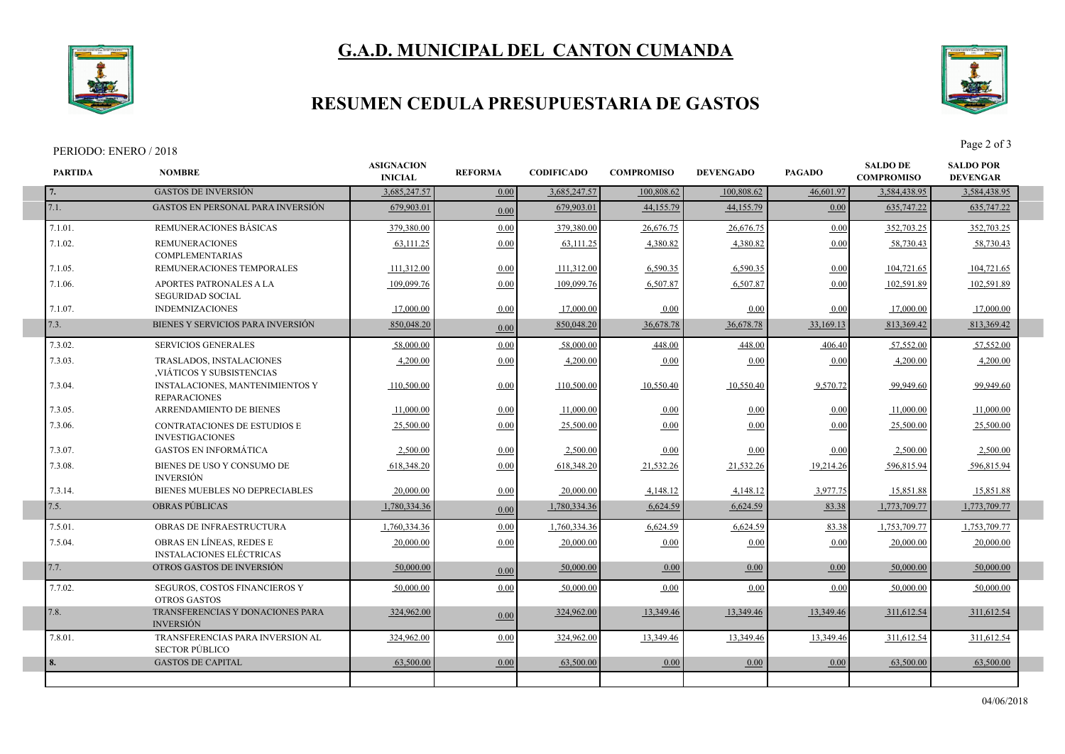



### **RESUMEN CEDULA PRESUPUESTARIA DE GASTOS**

**ASIGNACION** 

#### PERIODO: ENERO / 2018 Page 2 of 3

Г

П

F

**PARTIDA NOMBRE**



**INICIAL REFORMA CODIFICADO COMPROMISO SALDO DE COMPROMISO DEVENGADO PAGADO SALDO POR DEVENGAR**

|         |                                                             |              |      | 3,685,247.57 | 100,808.62 | 100.808.62 | 46,601.97 | 3,584,438.95 | 3,584,438.95 |
|---------|-------------------------------------------------------------|--------------|------|--------------|------------|------------|-----------|--------------|--------------|
| 7.1.    | <b>GASTOS EN PERSONAL PARA INVERSIÓN</b>                    | 679,903.01   | 0.00 | 679,903.01   | 44,155.79  | 44,155.79  | 0.00      | 635,747.22   | 635,747.22   |
| 7.1.01. | REMUNERACIONES BÁSICAS                                      | 379,380.00   | 0.00 | 379,380.00   | 26,676.75  | 26,676.75  | 0.00      | 352,703.25   | 352,703.25   |
| 7.1.02. | <b>REMUNERACIONES</b><br><b>COMPLEMENTARIAS</b>             | 63,111.25    | 0.00 | 63,111.25    | 4,380.82   | 4,380.82   | 0.00      | 58,730.43    | 58,730.43    |
| 7.1.05. | REMUNERACIONES TEMPORALES                                   | 111,312.00   | 0.00 | 111,312.00   | 6,590.35   | 6,590.35   | 0.00      | 104,721.65   | 104,721.65   |
| 7.1.06. | APORTES PATRONALES A LA<br><b>SEGURIDAD SOCIAL</b>          | 109,099.76   | 0.00 | 109,099.76   | 6,507.87   | 6,507.87   | 0.00      | 102,591.89   | 102,591.89   |
| 7.1.07. | <b>INDEMNIZACIONES</b>                                      | 17,000.00    | 0.00 | 17,000.00    | 0.00       | 0.00       | 0.00      | 17,000.00    | 17,000.00    |
| 7.3.    | BIENES Y SERVICIOS PARA INVERSIÓN                           | 850,048.20   | 0.00 | 850,048.20   | 36,678.78  | 36,678.78  | 33,169.13 | 813,369.42   | 813,369.42   |
| 7.3.02. | <b>SERVICIOS GENERALES</b>                                  | 58,000.00    | 0.00 | 58,000.00    | 448.00     | 448.00     | 406.40    | 57,552.00    | 57,552.00    |
| 7.3.03. | TRASLADOS, INSTALACIONES<br>VIÁTICOS Y SUBSISTENCIAS        | 4,200.00     | 0.00 | 4,200.00     | 0.00       | 0.00       | 0.00      | 4,200.00     | 4,200.00     |
| 7.3.04. | INSTALACIONES, MANTENIMIENTOS Y<br><b>REPARACIONES</b>      | 110,500.00   | 0.00 | 110,500.00   | 10,550.40  | 10,550.40  | 9,570.72  | 99,949.60    | 99,949.60    |
| 7.3.05. | ARRENDAMIENTO DE BIENES                                     | 11,000.00    | 0.00 | 11,000.00    | 0.00       | 0.00       | 0.00      | 11,000.00    | 11,000.00    |
| 7.3.06. | CONTRATACIONES DE ESTUDIOS E<br><b>INVESTIGACIONES</b>      | 25,500.00    | 0.00 | 25,500.00    | 0.00       | 0.00       | 0.00      | 25,500.00    | 25,500.00    |
| 7.3.07. | <b>GASTOS EN INFORMÁTICA</b>                                | 2,500.00     | 0.00 | 2,500.00     | 0.00       | 0.00       | 0.00      | 2,500.00     | 2,500.00     |
| 7.3.08. | BIENES DE USO Y CONSUMO DE<br><b>INVERSIÓN</b>              | 618,348.20   | 0.00 | 618,348.20   | 21,532.26  | 21,532.26  | 19,214.26 | 596,815.94   | 596,815.94   |
| 7.3.14. | BIENES MUEBLES NO DEPRECIABLES                              | 20,000.00    | 0.00 | 20,000.00    | 4,148.12   | 4,148.12   | 3,977.75  | 15,851.88    | 15,851.88    |
| 7.5.    | <b>OBRAS PÚBLICAS</b>                                       | 1,780,334.36 | 0.00 | 1,780,334.36 | 6,624.59   | 6,624.59   | 83.38     | 1,773,709.77 | 1,773,709.77 |
| 7.5.01. | OBRAS DE INFRAESTRUCTURA                                    | 1,760,334.36 | 0.00 | 1,760,334.36 | 6,624.59   | 6,624.59   | 83.38     | 1,753,709.77 | 1,753,709.77 |
| 7.5.04. | OBRAS EN LÍNEAS, REDES E<br><b>INSTALACIONES ELÉCTRICAS</b> | 20,000.00    | 0.00 | 20,000.00    | 0.00       | 0.00       | 0.00      | 20,000.00    | 20,000.00    |
| 7.7.    | OTROS GASTOS DE INVERSIÓN                                   | 50,000.00    | 0.00 | 50,000.00    | 0.00       | 0.00       | 0.00      | 50,000.00    | 50,000.00    |
| 7.7.02. | SEGUROS, COSTOS FINANCIEROS Y<br><b>OTROS GASTOS</b>        | 50,000.00    | 0.00 | 50,000.00    | 0.00       | 0.00       | 0.00      | 50,000.00    | 50,000.00    |
| 7.8.    | TRANSFERENCIAS Y DONACIONES PARA<br><b>INVERSIÓN</b>        | 324,962.00   | 0.00 | 324,962.00   | 13,349.46  | 13,349.46  | 13,349.46 | 311,612.54   | 311,612.54   |
| 7.8.01. | TRANSFERENCIAS PARA INVERSION AL<br><b>SECTOR PÚBLICO</b>   | 324,962.00   | 0.00 | 324,962.00   | 13.349.46  | 13.349.46  | 13.349.46 | 311,612.54   | 311,612.54   |
| 8.      | <b>GASTOS DE CAPITAL</b>                                    | 63,500.00    | 0.00 | 63,500.00    | 0.00       | 0.00       | 0.00      | 63,500.00    | 63,500.00    |